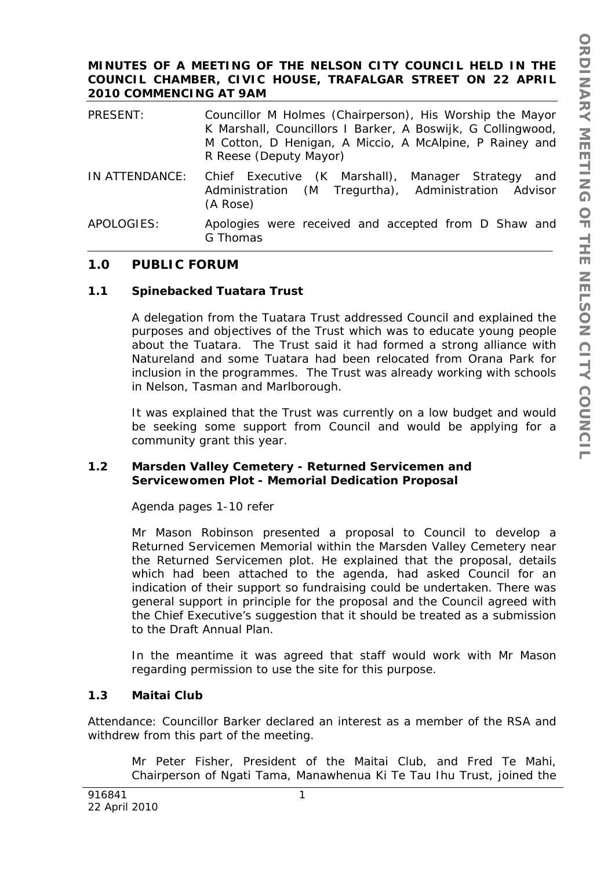### **MINUTES OF A MEETING OF THE NELSON CITY COUNCIL HELD IN THE COUNCIL CHAMBER, CIVIC HOUSE, TRAFALGAR STREET ON 22 APRIL 2010 COMMENCING AT 9AM**

| PRESENT:       | Councillor M Holmes (Chairperson), His Worship the Mayor<br>K Marshall, Councillors I Barker, A Boswijk, G Collingwood,<br>M Cotton, D Henigan, A Miccio, A McAlpine, P Rainey and<br>R Reese (Deputy Mayor) |
|----------------|--------------------------------------------------------------------------------------------------------------------------------------------------------------------------------------------------------------|
| IN ATTENDANCE: | Chief Executive (K Marshall),<br>Manager Strategy<br>and<br>Administration (M Tregurtha), Administration Advisor<br>(A Rose)                                                                                 |
| APOLOGIES:     | Apologies were received and accepted from D Shaw and<br>G Thomas                                                                                                                                             |

# **1.0 PUBLIC FORUM**

### **1.1 Spinebacked Tuatara Trust**

A delegation from the Tuatara Trust addressed Council and explained the purposes and objectives of the Trust which was to educate young people about the Tuatara. The Trust said it had formed a strong alliance with Natureland and some Tuatara had been relocated from Orana Park for inclusion in the programmes. The Trust was already working with schools in Nelson, Tasman and Marlborough.

It was explained that the Trust was currently on a low budget and would be seeking some support from Council and would be applying for a community grant this year.

### **1.2 Marsden Valley Cemetery - Returned Servicemen and Servicewomen Plot - Memorial Dedication Proposal**

Agenda pages 1-10 refer

Mr Mason Robinson presented a proposal to Council to develop a Returned Servicemen Memorial within the Marsden Valley Cemetery near the Returned Servicemen plot. He explained that the proposal, details which had been attached to the agenda, had asked Council for an indication of their support so fundraising could be undertaken. There was general support in principle for the proposal and the Council agreed with the Chief Executive's suggestion that it should be treated as a submission to the Draft Annual Plan.

In the meantime it was agreed that staff would work with Mr Mason regarding permission to use the site for this purpose.

# **1.3 Maitai Club**

Attendance: Councillor Barker declared an interest as a member of the RSA and withdrew from this part of the meeting.

Mr Peter Fisher, President of the Maitai Club, and Fred Te Mahi, Chairperson of Ngati Tama, Manawhenua Ki Te Tau Ihu Trust, joined the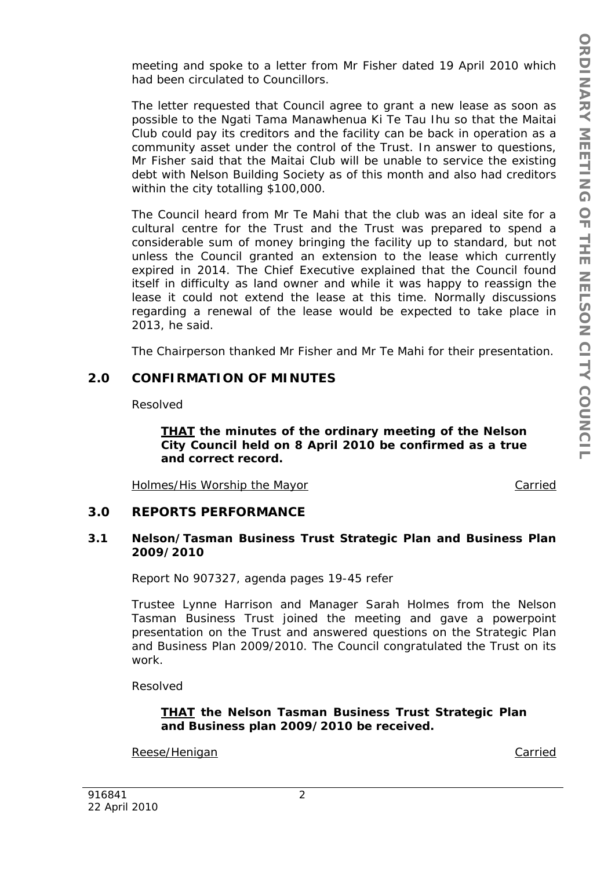meeting and spoke to a letter from Mr Fisher dated 19 April 2010 which had been circulated to Councillors.

The letter requested that Council agree to grant a new lease as soon as possible to the Ngati Tama Manawhenua Ki Te Tau Ihu so that the Maitai Club could pay its creditors and the facility can be back in operation as a community asset under the control of the Trust. In answer to questions, Mr Fisher said that the Maitai Club will be unable to service the existing debt with Nelson Building Society as of this month and also had creditors within the city totalling \$100,000.

The Council heard from Mr Te Mahi that the club was an ideal site for a cultural centre for the Trust and the Trust was prepared to spend a considerable sum of money bringing the facility up to standard, but not unless the Council granted an extension to the lease which currently expired in 2014. The Chief Executive explained that the Council found itself in difficulty as land owner and while it was happy to reassign the lease it could not extend the lease at this time. Normally discussions regarding a renewal of the lease would be expected to take place in 2013, he said.

The Chairperson thanked Mr Fisher and Mr Te Mahi for their presentation.

# **2.0 CONFIRMATION OF MINUTES**

Resolved

*THAT the minutes of the ordinary meeting of the Nelson City Council held on 8 April 2010 be confirmed as a true and correct record.* 

Holmes/His Worship the Mayor **Carried** 

# **3.0 REPORTS PERFORMANCE**

### **3.1 Nelson/Tasman Business Trust Strategic Plan and Business Plan 2009/2010**

Report No 907327, agenda pages 19-45 refer

Trustee Lynne Harrison and Manager Sarah Holmes from the Nelson Tasman Business Trust joined the meeting and gave a powerpoint presentation on the Trust and answered questions on the Strategic Plan and Business Plan 2009/2010. The Council congratulated the Trust on its work.

Resolved

# *THAT the Nelson Tasman Business Trust Strategic Plan and Business plan 2009/2010 be received.*

Reese/Henigan Carried Carried Carried Carried Carried Carried Carried Carried Carried Carried Carried Carried Carried Carried Carried Carried Carried Carried Carried Carried Carried Carried Carried Carried Carried Carried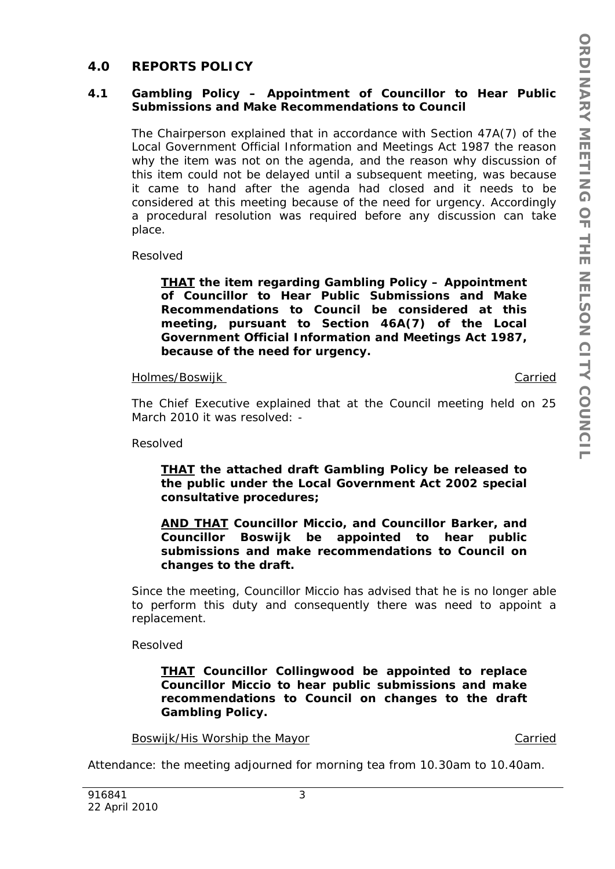# **4.0 REPORTS POLICY**

### **4.1 Gambling Policy – Appointment of Councillor to Hear Public Submissions and Make Recommendations to Council**

The Chairperson explained that in accordance with Section 47A(7) of the Local Government Official Information and Meetings Act 1987 the reason why the item was not on the agenda, and the reason why discussion of this item could not be delayed until a subsequent meeting, was because it came to hand after the agenda had closed and it needs to be considered at this meeting because of the need for urgency. Accordingly a procedural resolution was required before any discussion can take place.

Resolved

*THAT the item regarding Gambling Policy – Appointment of Councillor to Hear Public Submissions and Make Recommendations to Council be considered at this meeting, pursuant to Section 46A(7) of the Local Government Official Information and Meetings Act 1987, because of the need for urgency.* 

#### Holmes/Boswijk Carried

The Chief Executive explained that at the Council meeting held on 25 March 2010 it was resolved: -

Resolved

#### *THAT the attached draft Gambling Policy be released to the public under the Local Government Act 2002 special consultative procedures;*

*AND THAT Councillor Miccio, and Councillor Barker, and Councillor Boswijk be appointed to hear public submissions and make recommendations to Council on changes to the draft.* 

Since the meeting, Councillor Miccio has advised that he is no longer able to perform this duty and consequently there was need to appoint a replacement.

Resolved

*THAT Councillor Collingwood be appointed to replace Councillor Miccio to hear public submissions and make recommendations to Council on changes to the draft Gambling Policy.* 

#### Boswijk/His Worship the Mayor Carried

Attendance: the meeting adjourned for morning tea from 10.30am to 10.40am.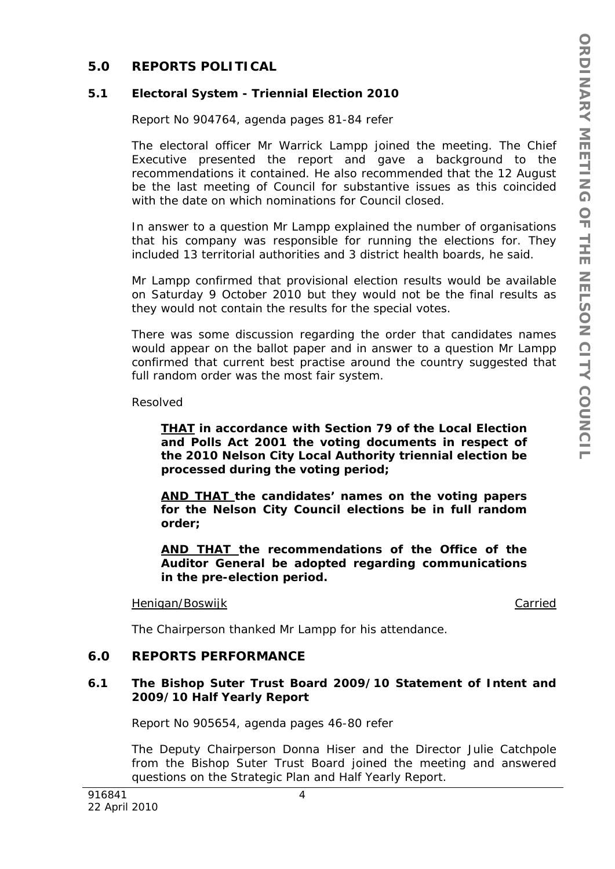# **5.0 REPORTS POLITICAL**

#### **5.1 Electoral System - Triennial Election 2010**

Report No 904764, agenda pages 81-84 refer

The electoral officer Mr Warrick Lampp joined the meeting. The Chief Executive presented the report and gave a background to the recommendations it contained. He also recommended that the 12 August be the last meeting of Council for substantive issues as this coincided with the date on which nominations for Council closed.

In answer to a question Mr Lampp explained the number of organisations that his company was responsible for running the elections for. They included 13 territorial authorities and 3 district health boards, he said.

Mr Lampp confirmed that provisional election results would be available on Saturday 9 October 2010 but they would not be the final results as they would not contain the results for the special votes.

There was some discussion regarding the order that candidates names would appear on the ballot paper and in answer to a question Mr Lampp confirmed that current best practise around the country suggested that full random order was the most fair system.

Resolved

*THAT in accordance with Section 79 of the Local Election and Polls Act 2001 the voting documents in respect of the 2010 Nelson City Local Authority triennial election be processed during the voting period;* 

*AND THAT the candidates' names on the voting papers for the Nelson City Council elections be in full random order;* 

*AND THAT the recommendations of the Office of the Auditor General be adopted regarding communications in the pre-election period.* 

#### Henigan/Boswijk **Carried**

The Chairperson thanked Mr Lampp for his attendance.

#### **6.0 REPORTS PERFORMANCE**

### **6.1 The Bishop Suter Trust Board 2009/10 Statement of Intent and 2009/10 Half Yearly Report**

Report No 905654, agenda pages 46-80 refer

The Deputy Chairperson Donna Hiser and the Director Julie Catchpole from the Bishop Suter Trust Board joined the meeting and answered questions on the Strategic Plan and Half Yearly Report.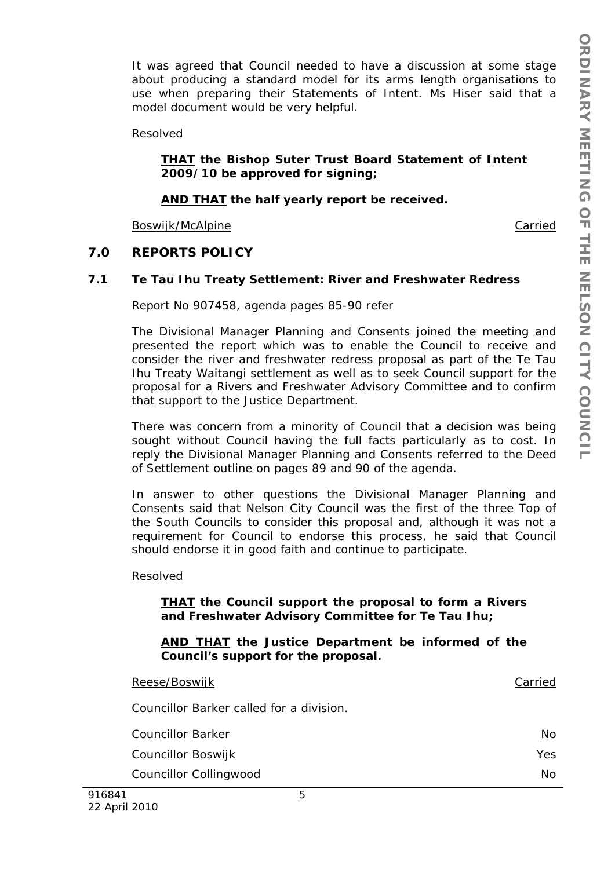It was agreed that Council needed to have a discussion at some stage about producing a standard model for its arms length organisations to use when preparing their Statements of Intent. Ms Hiser said that a model document would be very helpful.

Resolved

### *THAT the Bishop Suter Trust Board Statement of Intent 2009/10 be approved for signing;*

### *AND THAT the half yearly report be received.*

Boswijk/McAlpine Carried Carried Carried Carried Carried Carried Carried Carried Carried Carried Carried Carried Carried Carried Carried Carried Carried Carried Carried Carried Carried Carried Carried Carried Carried Carri

### **7.0 REPORTS POLICY**

#### **7.1 Te Tau Ihu Treaty Settlement: River and Freshwater Redress**

Report No 907458, agenda pages 85-90 refer

The Divisional Manager Planning and Consents joined the meeting and presented the report which was to enable the Council to receive and consider the river and freshwater redress proposal as part of the Te Tau Ihu Treaty Waitangi settlement as well as to seek Council support for the proposal for a Rivers and Freshwater Advisory Committee and to confirm that support to the Justice Department.

There was concern from a minority of Council that a decision was being sought without Council having the full facts particularly as to cost. In reply the Divisional Manager Planning and Consents referred to the Deed of Settlement outline on pages 89 and 90 of the agenda.

In answer to other questions the Divisional Manager Planning and Consents said that Nelson City Council was the first of the three Top of the South Councils to consider this proposal and, although it was not a requirement for Council to endorse this process, he said that Council should endorse it in good faith and continue to participate.

Resolved

### *THAT the Council support the proposal to form a Rivers and Freshwater Advisory Committee for Te Tau Ihu;*

*AND THAT the Justice Department be informed of the Council's support for the proposal.* 

| Councillor Collingwood                   | <b>No</b>  |
|------------------------------------------|------------|
| Councillor Boswijk                       | <b>Yes</b> |
| <b>Councillor Barker</b>                 | No.        |
| Councillor Barker called for a division. |            |
| Reese/Boswijk                            | Carried    |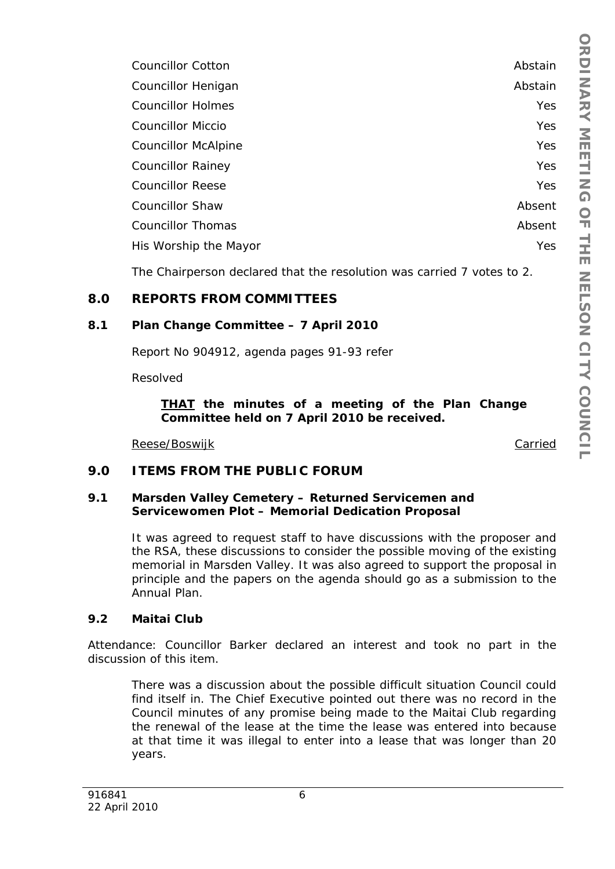| <b>Councillor Cotton</b>   | Abstain    |
|----------------------------|------------|
| Councillor Henigan         | Abstain    |
| <b>Councillor Holmes</b>   | Yes        |
| <b>Councillor Miccio</b>   | <b>Yes</b> |
| <b>Councillor McAlpine</b> | Yes        |
| <b>Councillor Rainey</b>   | <b>Yes</b> |
| <b>Councillor Reese</b>    | Yes        |
| <b>Councillor Shaw</b>     | Absent     |
| Councillor Thomas          | Absent     |
| His Worship the Mayor      | Yes        |
|                            |            |

The Chairperson declared that the resolution was carried 7 votes to 2.

# **8.0 REPORTS FROM COMMITTEES**

### **8.1 Plan Change Committee – 7 April 2010**

Report No 904912, agenda pages 91-93 refer

Resolved

### *THAT the minutes of a meeting of the Plan Change Committee held on 7 April 2010 be received.*

Reese/Boswijk Carried

# **9.0 ITEMS FROM THE PUBLIC FORUM**

### **9.1 Marsden Valley Cemetery – Returned Servicemen and Servicewomen Plot – Memorial Dedication Proposal**

It was agreed to request staff to have discussions with the proposer and the RSA, these discussions to consider the possible moving of the existing memorial in Marsden Valley. It was also agreed to support the proposal in principle and the papers on the agenda should go as a submission to the Annual Plan.

#### **9.2 Maitai Club**

Attendance: Councillor Barker declared an interest and took no part in the discussion of this item.

There was a discussion about the possible difficult situation Council could find itself in. The Chief Executive pointed out there was no record in the Council minutes of any promise being made to the Maitai Club regarding the renewal of the lease at the time the lease was entered into because at that time it was illegal to enter into a lease that was longer than 20 years.